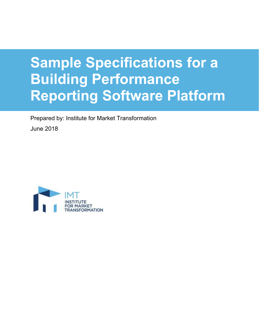# **Sample Specifications for a Building Performance Reporting Software Platform**

Prepared by: Institute for Market Transformation June 2018

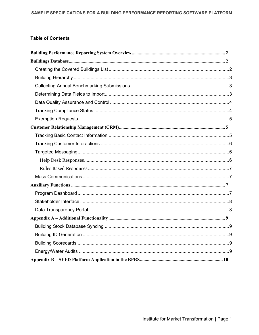#### **Table of Contents**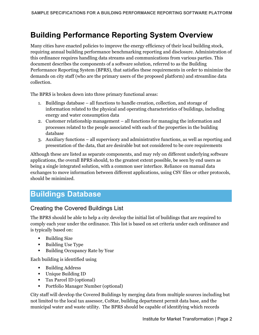# <span id="page-2-0"></span>**Building Performance Reporting System Overview**

Many cities have enacted policies to improve the energy efficiency of their local building stock, requiring annual building performance benchmarking reporting and disclosure. Administration of this ordinance requires handling data streams and communications from various parties. This document describes the components of a software solution, referred to as the Building Performance Reporting System (BPRS), that satisfies these requirements in order to minimize the demands on city staff (who are the primary users of the proposed platform) and streamline data collection.

The BPRS is broken down into three primary functional areas:

- 1. Buildings database all functions to handle creation, collection, and storage of information related to the physical and operating characteristics of buildings, including energy and water consumption data
- 2. Customer relationship management all functions for managing the information and processes related to the people associated with each of the properties in the building database
- 3. Auxiliary functions all supervisory and administrative functions, as well as reporting and presentation of the data, that are desirable but not considered to be core requirements

Although these are listed as separate components, and may rely on different underlying software applications, the overall BPRS should, to the greatest extent possible, be seen by end users as being a single integrated solution, with a common user interface. Reliance on manual data exchanges to move information between different applications, using CSV files or other protocols, should be minimized.

# <span id="page-2-1"></span>**Buildings Database**

# <span id="page-2-2"></span>Creating the Covered Buildings List

The BPRS should be able to help a city develop the initial list of buildings that are required to comply each year under the ordinance. This list is based on set criteria under each ordinance and is typically based on:

- **Building Size**
- Building Use Type
- Building Occupancy Rate by Year

Each building is identified using

- Building Address
- Unique Building ID
- Tax Parcel ID (optional)
- Portfolio Manager Number (optional)

City staff will develop the Covered Buildings by merging data from multiple sources including but not limited to the local tax assessor, CoStar, building department permit data base, and the municipal water and waste utility. The BPRS should be capable of identifying which records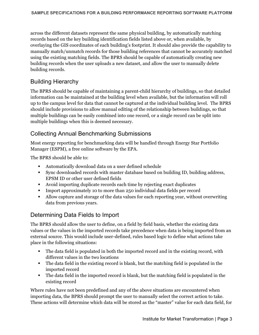across the different datasets represent the same physical building, by automatically matching records based on the key building identification fields listed above or, when available, by overlaying the GIS coordinates of each building's footprint. It should also provide the capability to manually match/unmatch records for those building references that cannot be accurately matched using the existing matching fields. The BPRS should be capable of automatically creating new building records when the user uploads a new dataset, and allow the user to manually delete building records.

# <span id="page-3-0"></span>Building Hierarchy

The BPRS should be capable of maintaining a parent-child hierarchy of buildings, so that detailed information can be maintained at the building level when available, but the information will roll up to the campus level for data that cannot be captured at the individual building level. The BPRS should include provisions to allow manual editing of the relationship between buildings, so that multiple buildings can be easily combined into one record, or a single record can be split into multiple buildings when this is deemed necessary.

# <span id="page-3-1"></span>Collecting Annual Benchmarking Submissions

Most energy reporting for benchmarking data will be handled through Energy Star Portfolio Manager (ESPM), a free online software by the EPA.

The BPRS should be able to:

- Automatically download data on a user defined schedule
- Sync downloaded records with master database based on building ID, building address, EPSM ID or other user defined fields
- Avoid importing duplicate records each time by rejecting exact duplicates
- Import approximately 10 to more than 250 individual data fields per record
- Allow capture and storage of the data values for each reporting year, without overwriting data from previous years.

# <span id="page-3-2"></span>Determining Data Fields to Import

The BPRS should allow the user to define, on a field by field basis, whether the existing data values or the values in the imported records take precedence when data is being imported from an external source. This would include user-defined, rules based logic to define what actions take place in the following situations:

- The data field is populated in both the imported record and in the existing record, with different values in the two locations
- The data field in the existing record is blank, but the matching field is populated in the imported record
- The data field in the imported record is blank, but the matching field is populated in the existing record

Where rules have not been predefined and any of the above situations are encountered when importing data, the BPRS should prompt the user to manually select the correct action to take. These actions will determine which data will be stored as the "master" value for each data field, for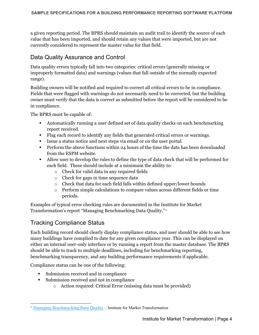a given reporting period. The BPRS should maintain an audit trail to identify the source of each value that has been imported, and should retain any values that were imported, but are not currently considered to represent the master value for that field.

# <span id="page-4-0"></span>Data Quality Assurance and Control

Data quality errors typically fall into two categories: critical errors (generally missing or improperly formatted data) and warnings (values that fall outside of the normally expected range).

Building owners will be notified and required to correct all critical errors to be in compliance. Fields that were flagged with warnings do not necessarily need to be corrected, but the building owner must verify that the data is correct as submitted before the report will be considered to be in compliance.

The BPRS must be capable of:

- Automatically running a user defined set of data quality checks on each benchmarking report received.
- Flag each record to identify any fields that generated critical errors or warnings.
- Issue a status notice and next steps via email or on the user portal.
- **Perform the above functions within 24 hours of the time the data has been downloaded** from the ESPM website.
- Allow user to develop the rules to define the type of data check that will be performed for each field. These should include at a minimum the ability to:
	- o Check for valid data in any required fields
	- o Check for gaps in time sequence data
	- o Check that data for each field falls within defined upper/lower bounds
	- o Perform simple calculations to compare values across different fields or time periods.

Examples of typical error checking rules are documented in the Institute for Market Transformation's report "Managing Benchmarking Data Quality."[1](#page-4-2)

# <span id="page-4-1"></span>Tracking Compliance Status

Each building record should clearly display compliance status, and user should be able to see how many buildings have complied to date for any given compliance year. This can be displayed on either an internal user-only interface or by running a report from the master database. The BPRS should be able to track to multiple deadlines, including for benchmarking reporting, benchmarking transparency, and any building performance requirements if applicable.

Compliance status can be one of the following:

- Submission received and in compliance
- Submission received and not in compliance
	- o Action required: Critical Error (missing data must be provided)

<span id="page-4-2"></span> $\overline{a}$ <sup>1</sup> [Managing Benchmarking Data Quality](https://www.imt.org/resources/managing-benchmarking-data-quality/?navBack%5Burl%5D=%2Fresource-library%2F&navBack%5Btitle%5D=Resource+Library) – Institute for Market Transformation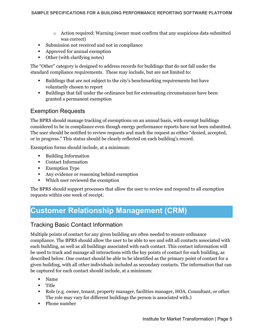- $\circ$  Action required: Warning (owner must confirm that any suspicious data submitted was correct)
- Submission not received and not in compliance
- Approved for annual exemption
- Other (with clarifying notes)

The "Other" category is designed to address records for buildings that do not fall under the standard compliance requirements. These may include, but are not limited to:

- Buildings that are not subject to the city's benchmarking requirements but have voluntarily chosen to report
- Buildings that fall under the ordinance but for extenuating circumstances have been granted a permanent exemption

#### <span id="page-5-0"></span>Exemption Requests

The BPRS should manage tracking of exemptions on an annual basis, with exempt buildings considered to be in compliance even though energy performance reports have not been submitted. The user should be notified to review requests and mark the request as either "denied, accepted, or in progress." This status should be clearly reflected on each building's record.

Exemption forms should include, at a minimum:

- Building Information
- Contact Information
- **Exemption Type**
- Any evidence or reasoning behind exemption
- Which user reviewed the exemption

The BPRS should support processes that allow the user to review and respond to all exemption requests within one week of receipt.

# <span id="page-5-1"></span>**Customer Relationship Management (CRM)**

## <span id="page-5-2"></span>Tracking Basic Contact Information

Multiple points of contact for any given building are often needed to ensure ordinance compliance. The BPRS should allow the user to be able to see and edit all contacts associated with each building, as well as all buildings associated with each contact. This contact information will be used to track and manage all interactions with the key points of contact for each building, as described below. One contact should be able to be identified as the primary point of contact for a given building, with all other individuals included as secondary contacts. The information that can be captured for each contact should include, at a minimum:

- Name
- Title
- Role (e.g. owner, tenant, property manager, facilities manager, HOA. Consultant, or other. The role may vary for different buildings the person is associated with.)
- Phone number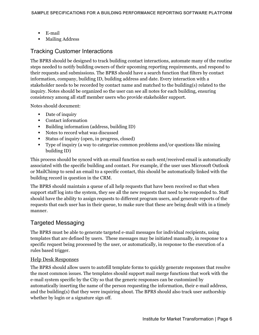- E-mail
- **Mailing Address**

# <span id="page-6-0"></span>Tracking Customer Interactions

The BPRS should be designed to track building contact interactions, automate many of the routine steps needed to notify building owners of their upcoming reporting requirements, and respond to their requests and submissions. The BPRS should have a search function that filters by contact information, company, building ID, building address and date. Every interaction with a stakeholder needs to be recorded by contact name and matched to the building(s) related to the inquiry. Notes should be organized so the user can see all notes for each building, ensuring consistency among all staff member users who provide stakeholder support.

Notes should document:

- Date of inquiry
- Contact information
- Building information (address, building ID)
- Notes to record what was discussed
- Status of inquiry (open, in progress, closed)
- Type of inquiry (a way to categorize common problems and/or questions like missing building ID)

This process should be synced with an email function so each sent/received email is automatically associated with the specific building and contact. For example, if the user uses Microsoft Outlook or MailChimp to send an email to a specific contact, this should be automatically linked with the building record in question in the CRM.

The BPRS should maintain a queue of all help requests that have been received so that when support staff log into the system, they see all the new requests that need to be responded to. Staff should have the ability to assign requests to different program users, and generate reports of the requests that each user has in their queue, to make sure that these are being dealt with in a timely manner.

## <span id="page-6-1"></span>Targeted Messaging

The BPRS must be able to generate targeted e-mail messages for individual recipients, using templates that are defined by users. These messages may be initiated manually, in response to a specific request being processed by the user, or automatically, in response to the execution of a rules based trigger.

#### <span id="page-6-2"></span>Help Desk Responses

The BPRS should allow users to autofill template forms to quickly generate responses that resolve the most common issues. The templates should support mail merge functions that work with the e-mail system specific by the City so that the generic responses can be customized by automatically inserting the name of the person requesting the information, their e-mail address, and the building(s) that they were inquiring about. The BPRS should also track user authorship whether by login or a signature sign off.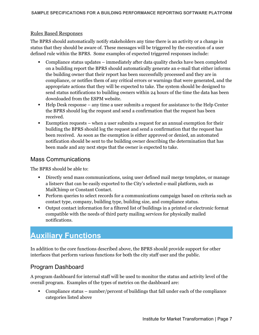#### <span id="page-7-0"></span>Rules Based Responses

The BPRS should automatically notify stakeholders any time there is an activity or a change in status that they should be aware of. These messages will be triggered by the execution of a user defined rule within the BPRS. Some examples of expected triggered responses include:

- Compliance status updates immediately after data quality checks have been completed on a building report the BPRS should automatically generate an e-mail that either informs the building owner that their report has been successfully processed and they are in compliance, or notifies them of any critical errors or warnings that were generated, and the appropriate actions that they will be expected to take. The system should be designed to send status notifications to building owners within 24 hours of the time the data has been downloaded from the ESPM website.
- Help Desk response any time a user submits a request for assistance to the Help Center the BPRS should log the request and send a confirmation that the request has been received.
- Exemption requests when a user submits a request for an annual exemption for their building the BPRS should log the request and send a confirmation that the request has been received. As soon as the exemption is either approved or denied, an automated notification should be sent to the building owner describing the determination that has been made and any next steps that the owner is expected to take.

#### <span id="page-7-1"></span>Mass Communications

The BPRS should be able to:

- Directly send mass communications, using user defined mail merge templates, or manage a listserv that can be easily exported to the City's selected e-mail platform, such as MailChimp or Constant Contact.
- Perform queries to select records for a communications campaign based on criteria such as contact type, company, building type, building size, and compliance status.
- Output contact information for a filtered list of buildings in a printed or electronic format compatible with the needs of third party mailing services for physically mailed notifications.

# <span id="page-7-2"></span>**Auxiliary Functions**

In addition to the core functions described above, the BPRS should provide support for other interfaces that perform various functions for both the city staff user and the public.

# <span id="page-7-3"></span>Program Dashboard

A program dashboard for internal staff will be used to monitor the status and activity level of the overall program. Examples of the types of metrics on the dashboard are:

 Compliance status – number/percent of buildings that fall under each of the compliance categories listed above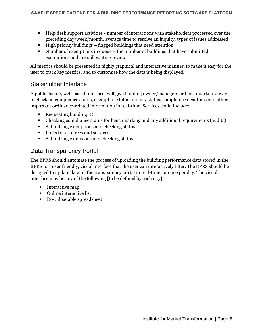- Help desk support activities number of interactions with stakeholders processed over the preceding day/week/month, average time to resolve an inquiry, types of issues addressed
- $\blacksquare$  High priority buildings flagged buildings that need attention
- Number of exemptions in queue the number of buildings that have submitted exemptions and are still waiting review

All metrics should be presented in highly graphical and interactive manner, to make it easy for the user to track key metrics, and to customize how the data is being displayed.

### <span id="page-8-0"></span>Stakeholder Interface

A public facing, web-based interface, will give building owner/managers or benchmarkers a way to check on compliance status, exemption status, inquiry status, compliance deadlines and other important ordinance-related information in real-time. Services could include:

- Requesting building ID
- Checking compliance status for benchmarking and any additional requirements (audits)
- Submitting exemptions and checking status
- **Links to resources and services**
- Submitting extensions and checking status

## <span id="page-8-1"></span>Data Transparency Portal

The BPRS should automate the process of uploading the building performance data stored in the BPRS to a user friendly, visual interface that the user can interactively filter. The BPRS should be designed to update data on the transparency portal in real-time, or once per day. The visual interface may be any of the following [to be defined by each city]:

- **Interactive map**
- Online interactive list
- Downloadable spreadsheet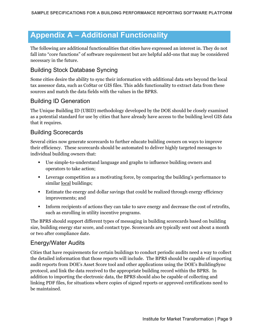# <span id="page-9-0"></span>**Appendix A – Additional Functionality**

The following are additional functionalities that cities have expressed an interest in. They do not fall into "core functions" of software requirement but are helpful add-ons that may be considered necessary in the future.

# <span id="page-9-1"></span>Building Stock Database Syncing

Some cities desire the ability to sync their information with additional data sets beyond the local tax assessor data, such as CoStar or GIS files. This adds functionality to extract data from these sources and match the data fields with the values in the BPRS.

# <span id="page-9-2"></span>Building ID Generation

The Unique Building ID (UBID) methodology developed by the DOE should be closely examined as a potential standard for use by cities that have already have access to the building level GIS data that it requires.

## <span id="page-9-3"></span>Building Scorecards

Several cities now generate scorecards to further educate building owners on ways to improve their efficiency. These scorecards should be automated to deliver highly targeted messages to individual building owners that:

- Use simple-to-understand language and graphs to influence building owners and operators to take action;
- Leverage competition as a motivating force, by comparing the building's performance to similar local buildings;
- Estimate the energy and dollar savings that could be realized through energy efficiency improvements; and
- Inform recipients of actions they can take to save energy and decrease the cost of retrofits, such as enrolling in utility incentive programs.

The BPRS should support different types of messaging in building scorecards based on building size, building energy star score, and contact type. Scorecards are typically sent out about a month or two after compliance date.

## <span id="page-9-4"></span>Energy/Water Audits

Cities that have requirements for certain buildings to conduct periodic audits need a way to collect the detailed information that those reports will include. The BPRS should be capable of importing audit reports from DOE's Asset Score tool and other applications using the DOE's BuildingSync protocol, and link the data received to the appropriate building record within the BPRS. In addition to importing the electronic data, the BPRS should also be capable of collecting and linking PDF files, for situations where copies of signed reports or approved certifications need to be maintained.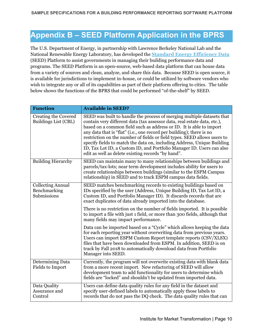# <span id="page-10-0"></span>**Appendix B – SEED Platform Application in the BPRS**

The U.S. Department of Energy, in partnership with Lawrence Berkeley National Lab and the National Renewable Energy Laboratory, has developed the **[Standard Energy Efficiency Data](https://www.energy.gov/eere/buildings/standard-energy-efficiency-data-platform)** (SEED) Platform to assist governments in managing their building performance data and programs. The SEED Platform is an open-source, web-based data platform that can house data from a variety of sources and clean, analyze, and share this data. Because SEED is open source, it is available for jurisdictions to implement in-house, or could be utilized by software vendors who wish to integrate any or all of its capabilities as part of their platform offering to cities. The table below shows the functions of the BPRS that could be performed "of-the-shelf" by SEED.

| <b>Function</b>                                         | <b>Available in SEED?</b>                                                                                                                                                                                                                                                                                                                                                                                                                                                                                                                                                               |
|---------------------------------------------------------|-----------------------------------------------------------------------------------------------------------------------------------------------------------------------------------------------------------------------------------------------------------------------------------------------------------------------------------------------------------------------------------------------------------------------------------------------------------------------------------------------------------------------------------------------------------------------------------------|
| Creating the Covered<br>Buildings List (CBL)            | SEED was built to handle the process of merging multiple datasets that<br>contain very different data (tax assessor data, real estate data, etc.),<br>based on a common field such as address or ID. It is able to import<br>any data that is "flat" (i.e., one record per building); there is no<br>restriction on the number of fields or field types. SEED allows users to<br>specify fields to match the data on, including Address, Unique Building<br>ID, Tax Lot ID, a Custom ID, and Portfolio Manager ID. Users can also<br>edit as well as delete existing records "by hand". |
| <b>Building Hierarchy</b>                               | SEED can maintain many to many relationships between buildings and<br>parcels/tax-lots; near term development includes ability for users to<br>create relationships between buildings (similar to the ESPM Campus<br>relationship) in SEED and to track ESPM campus data fields.                                                                                                                                                                                                                                                                                                        |
| <b>Collecting Annual</b><br>Benchmarking<br>Submissions | SEED matches benchmarking records to existing buildings based on<br>IDs specified by the user (Address, Unique Building ID, Tax Lot ID, a<br>Custom ID, and Portfolio Manager ID). It discards records that are<br>exact duplicates of data already imported into the database.                                                                                                                                                                                                                                                                                                         |
|                                                         | There is no restriction on the number of fields imported. It is possible<br>to import a file with just 1 field, or more than 300 fields, although that<br>many fields may impact performance.                                                                                                                                                                                                                                                                                                                                                                                           |
|                                                         | Data can be imported based on a "Cycle" which allows keeping the data<br>for each reporting year without overwriting data from previous years.<br>Users can import ESPM Custom Report template reports (CSV/XLSX)<br>files that have been downloaded from ESPM. In addition, SEED is on<br>track by Fall 2018 to automatically download data from Portfolio<br>Manager into SEED.                                                                                                                                                                                                       |
| Determining Data<br><b>Fields to Import</b>             | Currently, the program will not overwrite existing data with blank data<br>from a more recent import. New refactoring of SEED will allow<br>development team to add functionality for users to determine which<br>fields are "locked" and shouldn't be updated from imported data.                                                                                                                                                                                                                                                                                                      |
| Data Quality<br>Assurance and<br>Control                | Users can define data quality rules for any field in the dataset and<br>specify user-defined labels to automatically apply those labels to<br>records that do not pass the DQ check. The data quality rules that can                                                                                                                                                                                                                                                                                                                                                                    |